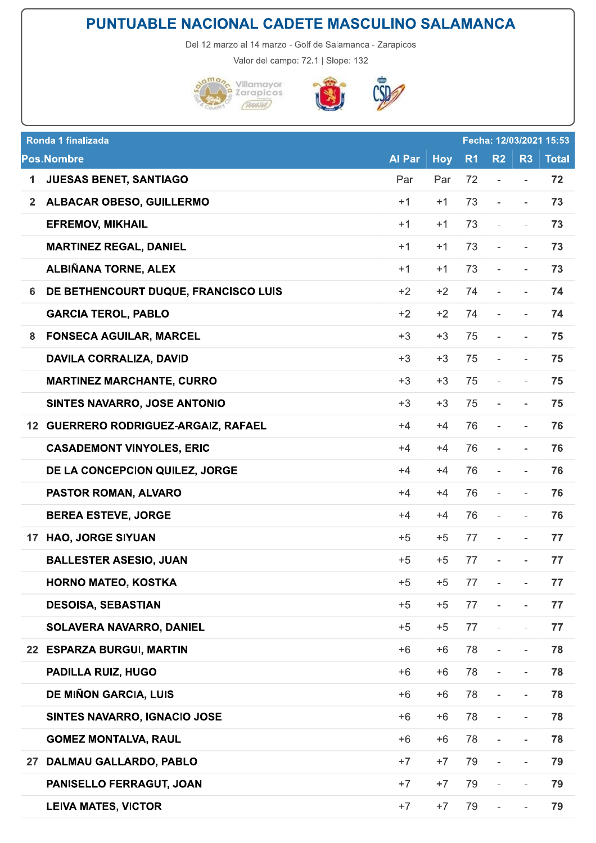## PUNTUABLE NACIONAL CADETE MASCULINO SALAMANCA

Del 12 marzo al 14 marzo - Golf de Salamanca - Zarapicos

Valor del campo: 72.1 | Slope: 132



Pos.

PANISELLO FERRAGUT, JOAN

**LEIVA MATES, VICTOR** 



血

| Ronda 1 finalizada<br>Fecha: 12/03/2021 15:53 |                                          |        |            |                |                              |                          |              |
|-----------------------------------------------|------------------------------------------|--------|------------|----------------|------------------------------|--------------------------|--------------|
| <b>Pos.Nombre</b>                             |                                          | Al Par | <b>Hoy</b> | R <sub>1</sub> | R <sub>2</sub>               | R <sub>3</sub>           | <b>Total</b> |
| $\mathbf{1}$                                  | <b>JUESAS BENET, SANTIAGO</b>            | Par    | Par        | 72             | $\qquad \qquad \blacksquare$ | $\overline{\phantom{a}}$ | 72           |
| 2 <sup>1</sup>                                | <b>ALBACAR OBESO, GUILLERMO</b>          | $+1$   | $+1$       | 73             | $\overline{\phantom{a}}$     | $\sim$                   | 73           |
|                                               | <b>EFREMOV, MIKHAIL</b>                  | $+1$   | $+1$       | 73             | $\overline{\phantom{a}}$     | $\overline{\phantom{a}}$ | 73           |
|                                               | <b>MARTINEZ REGAL, DANIEL</b>            | $+1$   | $+1$       | 73             | $\overline{\phantom{a}}$     | $\overline{\phantom{a}}$ | 73           |
|                                               | ALBIÑANA TORNE, ALEX                     | $+1$   | $+1$       | 73             | $\overline{\phantom{a}}$     | $\overline{\phantom{a}}$ | 73           |
| 6                                             | DE BETHENCOURT DUQUE, FRANCISCO LUIS     | $+2$   | $+2$       | 74             | $\overline{\phantom{a}}$     | $\overline{\phantom{a}}$ | 74           |
|                                               | <b>GARCIA TEROL, PABLO</b>               | $+2$   | $+2$       | 74             | $\overline{\phantom{a}}$     | $\overline{\phantom{a}}$ | 74           |
| 8                                             | <b>FONSECA AGUILAR, MARCEL</b>           | $+3$   | $+3$       | 75             | $\overline{\phantom{a}}$     | $\overline{\phantom{a}}$ | 75           |
|                                               | <b>DAVILA CORRALIZA, DAVID</b>           | $+3$   | $+3$       | 75             | $\overline{\phantom{a}}$     | $\overline{\phantom{a}}$ | 75           |
|                                               | <b>MARTINEZ MARCHANTE, CURRO</b>         | $+3$   | $+3$       | 75             | $\overline{\phantom{a}}$     | $\overline{\phantom{a}}$ | 75           |
|                                               | SINTES NAVARRO, JOSE ANTONIO             | $+3$   | $+3$       | 75             | $\overline{\phantom{a}}$     | $\overline{\phantom{a}}$ | 75           |
| 12                                            | <b>GUERRERO RODRIGUEZ-ARGAIZ, RAFAEL</b> | $+4$   | $+4$       | 76             | $\overline{\phantom{m}}$     | $\overline{\phantom{a}}$ | 76           |
|                                               | <b>CASADEMONT VINYOLES, ERIC</b>         | $+4$   | $+4$       | 76             | $\overline{\phantom{a}}$     |                          | 76           |
|                                               | DE LA CONCEPCION QUILEZ, JORGE           | $+4$   | $+4$       | 76             | $\overline{\phantom{a}}$     | $\overline{\phantom{a}}$ | 76           |
|                                               | PASTOR ROMAN, ALVARO                     | $+4$   | $+4$       | 76             | $\overline{\phantom{a}}$     | $\overline{\phantom{a}}$ | 76           |
|                                               | <b>BEREA ESTEVE, JORGE</b>               | $+4$   | $+4$       | 76             | $\overline{\phantom{a}}$     | $\overline{\phantom{a}}$ | 76           |
| 17                                            | <b>HAO, JORGE SIYUAN</b>                 | $+5$   | $+5$       | 77             | $\overline{\phantom{a}}$     | $\overline{\phantom{a}}$ | 77           |
|                                               | <b>BALLESTER ASESIO, JUAN</b>            | $+5$   | $+5$       | 77             | and the contract of the con- |                          | 77           |
|                                               | <b>HORNO MATEO, KOSTKA</b>               | $+5$   | $+5$       | 77             | $\overline{\phantom{a}}$     | $\overline{\phantom{a}}$ | 77           |
|                                               | <b>DESOISA, SEBASTIAN</b>                | $+5$   | $+5$       | 77             | $\overline{\phantom{a}}$     | $\overline{\phantom{a}}$ | 77           |
|                                               | <b>SOLAVERA NAVARRO, DANIEL</b>          | $+5$   | $+5$       | 77             | $\overline{\phantom{a}}$     | $\overline{\phantom{0}}$ | 77           |
|                                               | 22 ESPARZA BURGUI, MARTIN                | $+6$   | $+6$       | 78             | $\overline{\phantom{a}}$     | $\overline{\phantom{a}}$ | 78           |
|                                               | <b>PADILLA RUIZ, HUGO</b>                | $+6$   | $+6$       | 78             | $\overline{\phantom{a}}$     | $\overline{\phantom{a}}$ | 78           |
|                                               | <b>DE MIÑON GARCIA, LUIS</b>             | $+6$   | $+6$       | 78             | $\overline{\phantom{a}}$     | $\overline{\phantom{a}}$ | 78           |
|                                               | SINTES NAVARRO, IGNACIO JOSE             | $+6$   | $+6$       | 78             | $\overline{\phantom{a}}$     | $\overline{\phantom{a}}$ | 78           |
|                                               | <b>GOMEZ MONTALVA, RAUL</b>              | $+6$   | $+6$       | 78             | $\overline{\phantom{a}}$     | $\overline{\phantom{a}}$ | 78           |
| 27                                            | DALMAU GALLARDO, PABLO                   | $+7$   | $+7$       | 79             |                              |                          | 79           |
|                                               |                                          |        |            |                |                              |                          |              |

 $+7$ 

 $+7$ 

 $+7$ 

 $+7$ 

79

79

 $\Box$ 

 $\overline{\phantom{a}}$ 

 $\overline{\phantom{a}}$ 

 $\overline{\phantom{a}}$ 

79

79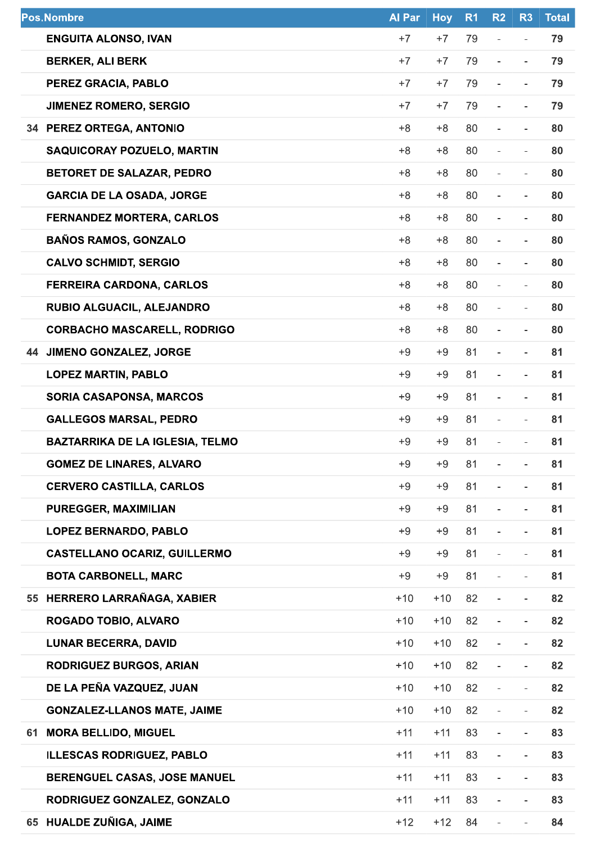| <b>Pos.Nombre</b> |                                        | <b>Al Par</b> | <b>Hoy</b> | R <sub>1</sub> | R <sub>2</sub>               | R <sub>3</sub>           | <b>Total</b> |
|-------------------|----------------------------------------|---------------|------------|----------------|------------------------------|--------------------------|--------------|
|                   | <b>ENGUITA ALONSO, IVAN</b>            | $+7$          | $+7$       | 79             | $\overline{\phantom{m}}$     | $\bar{ }$                | 79           |
|                   | <b>BERKER, ALI BERK</b>                | $+7$          | $+7$       | 79             | $\overline{a}$               | -                        | 79           |
|                   | PEREZ GRACIA, PABLO                    | $+7$          | $+7$       | 79             | $\overline{\phantom{a}}$     | $\overline{\phantom{a}}$ | 79           |
|                   | <b>JIMENEZ ROMERO, SERGIO</b>          | $+7$          | $+7$       | 79             |                              | $\overline{\phantom{a}}$ | 79           |
|                   | 34 PEREZ ORTEGA, ANTONIO               | $+8$          | $+8$       | 80             | $\overline{\phantom{a}}$     | $\overline{\phantom{0}}$ | 80           |
|                   | <b>SAQUICORAY POZUELO, MARTIN</b>      | $+8$          | $+8$       | 80             | $\frac{1}{2}$                | $\overline{\phantom{a}}$ | 80           |
|                   | <b>BETORET DE SALAZAR, PEDRO</b>       | $+8$          | $+8$       | 80             | $\blacksquare$               | $\overline{\phantom{a}}$ | 80           |
|                   | <b>GARCIA DE LA OSADA, JORGE</b>       | $+8$          | $+8$       | 80             | $\overline{\phantom{a}}$     | $\overline{\phantom{0}}$ | 80           |
|                   | <b>FERNANDEZ MORTERA, CARLOS</b>       | $+8$          | $+8$       | 80             | $\frac{1}{2}$                | $\overline{\phantom{0}}$ | 80           |
|                   | <b>BAÑOS RAMOS, GONZALO</b>            | $+8$          | $+8$       | 80             | $\overline{\phantom{a}}$     | $\overline{\phantom{a}}$ | 80           |
|                   | <b>CALVO SCHMIDT, SERGIO</b>           | $+8$          | $+8$       | 80             | $\overline{\phantom{a}}$     | $\overline{\phantom{0}}$ | 80           |
|                   | <b>FERREIRA CARDONA, CARLOS</b>        | $+8$          | $+8$       | 80             | $\overline{\phantom{m}}$     | $\overline{\phantom{a}}$ | 80           |
|                   | RUBIO ALGUACIL, ALEJANDRO              | $+8$          | $+8$       | 80             | $\frac{1}{2}$                | $\overline{\phantom{a}}$ | 80           |
|                   | <b>CORBACHO MASCARELL, RODRIGO</b>     | $+8$          | $+8$       | 80             | $\overline{\phantom{a}}$     | $\overline{\phantom{0}}$ | 80           |
| 44                | <b>JIMENO GONZALEZ, JORGE</b>          | $+9$          | $+9$       | 81             | $\blacksquare$               | $\overline{\phantom{a}}$ | 81           |
|                   | <b>LOPEZ MARTIN, PABLO</b>             | $+9$          | $+9$       | 81             | $\overline{\phantom{a}}$     | $\overline{\phantom{a}}$ | 81           |
|                   | <b>SORIA CASAPONSA, MARCOS</b>         | $+9$          | $+9$       | 81             | $\overline{\phantom{a}}$     | $\overline{\phantom{0}}$ | 81           |
|                   | <b>GALLEGOS MARSAL, PEDRO</b>          | $+9$          | $+9$       | 81             | $\overline{\phantom{a}}$     | $\overline{\phantom{a}}$ | 81           |
|                   | <b>BAZTARRIKA DE LA IGLESIA, TELMO</b> | $+9$          | $+9$       | 81             |                              |                          | 81           |
|                   | <b>GOMEZ DE LINARES, ALVARO</b>        | $+9$          | $+9$       | 81             |                              |                          | 81           |
|                   | <b>CERVERO CASTILLA, CARLOS</b>        | $+9$          | $+9$       | 81             | $\overline{\phantom{a}}$     | $\overline{\phantom{a}}$ | 81           |
|                   | PUREGGER, MAXIMILIAN                   | $+9$          | $+9$       | 81             | $\overline{\phantom{a}}$     | $\overline{\phantom{0}}$ | 81           |
|                   | <b>LOPEZ BERNARDO, PABLO</b>           | $+9$          | $+9$       | 81             | $\overline{\phantom{a}}$     | $\overline{\phantom{a}}$ | 81           |
|                   | <b>CASTELLANO OCARIZ, GUILLERMO</b>    | $+9$          | $+9$       | 81             | $\overline{\phantom{a}}$     | $\overline{\phantom{a}}$ | 81           |
|                   | <b>BOTA CARBONELL, MARC</b>            | $+9$          | $+9$       | 81             | $\overline{\phantom{a}}$     | $\overline{\phantom{0}}$ | 81           |
|                   | 55 HERRERO LARRAÑAGA, XABIER           | $+10$         | $+10$      | 82             | $\qquad \qquad \blacksquare$ | ۰.                       | 82           |
|                   | ROGADO TOBIO, ALVARO                   | $+10$         | $+10$      | 82             | $\overline{\phantom{a}}$     | $\overline{\phantom{a}}$ | 82           |
|                   | <b>LUNAR BECERRA, DAVID</b>            | $+10$         | $+10$      | 82             | $\overline{\phantom{a}}$     | $\overline{\phantom{0}}$ | 82           |
|                   | <b>RODRIGUEZ BURGOS, ARIAN</b>         | $+10$         | $+10$      | 82             | $\overline{\phantom{a}}$     | $\overline{\phantom{a}}$ | 82           |
|                   | DE LA PEÑA VAZQUEZ, JUAN               | $+10$         | $+10$      | 82             | $\overline{\phantom{a}}$     | $\overline{\phantom{a}}$ | 82           |
|                   | <b>GONZALEZ-LLANOS MATE, JAIME</b>     | $+10$         | $+10$      | 82             | $\overline{\phantom{a}}$     | $\overline{\phantom{0}}$ | 82           |
| 61                | <b>MORA BELLIDO, MIGUEL</b>            | $+11$         | $+11$      | 83             | $\overline{\phantom{a}}$     | $\overline{\phantom{a}}$ | 83           |
|                   | <b>ILLESCAS RODRIGUEZ, PABLO</b>       | $+11$         | $+11$      | 83             | $\overline{\phantom{a}}$     | $\overline{\phantom{a}}$ | 83           |
|                   | BERENGUEL CASAS, JOSE MANUEL           | $+11$         | $+11$      | 83             | $\overline{\phantom{a}}$     | $\overline{\phantom{a}}$ | 83           |
|                   | RODRIGUEZ GONZALEZ, GONZALO            | $+11$         | $+11$      | 83             | $\overline{\phantom{a}}$     | $\overline{\phantom{a}}$ | 83           |
|                   | 65 HUALDE ZUÑIGA, JAIME                | $+12$         | $+12$      | 84             | $\overline{\phantom{a}}$     | $\overline{\phantom{a}}$ | 84           |